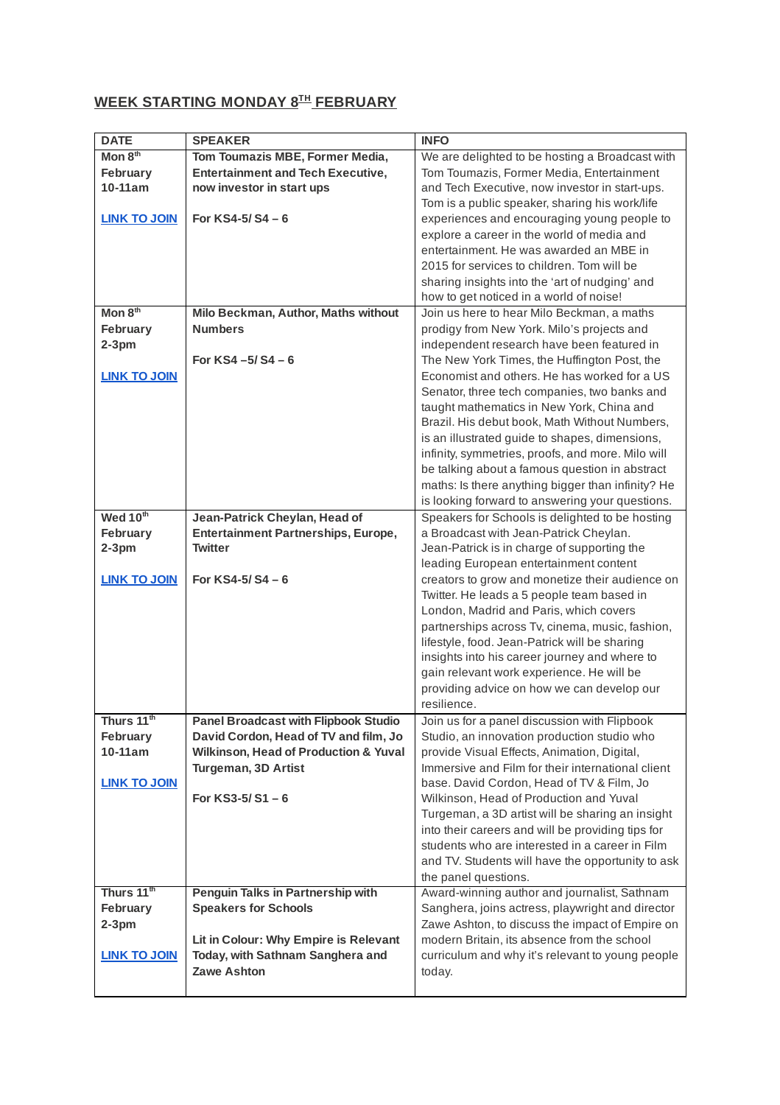## **WEEK STARTING MONDAY 8 TH FEBRUARY**

| <b>DATE</b>            | <b>SPEAKER</b>                                   | <b>INFO</b>                                                                                   |
|------------------------|--------------------------------------------------|-----------------------------------------------------------------------------------------------|
| Mon $8th$              | Tom Toumazis MBE, Former Media,                  | We are delighted to be hosting a Broadcast with                                               |
| February               | <b>Entertainment and Tech Executive,</b>         | Tom Toumazis, Former Media, Entertainment                                                     |
| 10-11am                | now investor in start ups                        | and Tech Executive, now investor in start-ups.                                                |
|                        |                                                  | Tom is a public speaker, sharing his work/life                                                |
| <b>LINK TO JOIN</b>    | For $KSA-5/SA-6$                                 | experiences and encouraging young people to                                                   |
|                        |                                                  | explore a career in the world of media and                                                    |
|                        |                                                  | entertainment. He was awarded an MBE in                                                       |
|                        |                                                  | 2015 for services to children. Tom will be                                                    |
|                        |                                                  | sharing insights into the 'art of nudging' and                                                |
|                        |                                                  | how to get noticed in a world of noise!                                                       |
| Mon 8 <sup>th</sup>    | Milo Beckman, Author, Maths without              | Join us here to hear Milo Beckman, a maths                                                    |
| February               | <b>Numbers</b>                                   | prodigy from New York. Milo's projects and                                                    |
| $2-3$ pm               |                                                  | independent research have been featured in                                                    |
|                        | For $KS4 - 5/ S4 - 6$                            | The New York Times, the Huffington Post, the                                                  |
| <b>LINK TO JOIN</b>    |                                                  | Economist and others. He has worked for a US                                                  |
|                        |                                                  | Senator, three tech companies, two banks and                                                  |
|                        |                                                  | taught mathematics in New York, China and                                                     |
|                        |                                                  | Brazil. His debut book, Math Without Numbers,                                                 |
|                        |                                                  | is an illustrated guide to shapes, dimensions,                                                |
|                        |                                                  | infinity, symmetries, proofs, and more. Milo will                                             |
|                        |                                                  | be talking about a famous question in abstract                                                |
|                        |                                                  | maths: Is there anything bigger than infinity? He                                             |
|                        |                                                  | is looking forward to answering your questions.                                               |
| Wed 10th               | Jean-Patrick Cheylan, Head of                    | Speakers for Schools is delighted to be hosting                                               |
| February               | Entertainment Partnerships, Europe,              | a Broadcast with Jean-Patrick Cheylan.                                                        |
| $2-3$ pm               | Twitter                                          | Jean-Patrick is in charge of supporting the                                                   |
| <b>LINK TO JOIN</b>    | For $KSA-5/SA-6$                                 | leading European entertainment content                                                        |
|                        |                                                  | creators to grow and monetize their audience on<br>Twitter. He leads a 5 people team based in |
|                        |                                                  | London, Madrid and Paris, which covers                                                        |
|                        |                                                  | partnerships across Tv, cinema, music, fashion,                                               |
|                        |                                                  | lifestyle, food. Jean-Patrick will be sharing                                                 |
|                        |                                                  | insights into his career journey and where to                                                 |
|                        |                                                  | gain relevant work experience. He will be                                                     |
|                        |                                                  | providing advice on how we can develop our                                                    |
|                        |                                                  | resilience.                                                                                   |
| Thurs $11^{\rm th}$    | <b>Panel Broadcast with Flipbook Studio</b>      | Join us for a panel discussion with Flipbook                                                  |
| February               | David Cordon, Head of TV and film, Jo            | Studio, an innovation production studio who                                                   |
| 10-11am                | <b>Wilkinson, Head of Production &amp; Yuval</b> | provide Visual Effects, Animation, Digital,                                                   |
|                        | Turgeman, 3D Artist                              | Immersive and Film for their international client                                             |
| <b>LINK TO JOIN</b>    |                                                  | base. David Cordon, Head of TV & Film, Jo                                                     |
|                        | For $KS3-5/S1-6$                                 | Wilkinson, Head of Production and Yuval                                                       |
|                        |                                                  | Turgeman, a 3D artist will be sharing an insight                                              |
|                        |                                                  | into their careers and will be providing tips for                                             |
|                        |                                                  | students who are interested in a career in Film                                               |
|                        |                                                  | and TV. Students will have the opportunity to ask                                             |
|                        |                                                  | the panel questions.                                                                          |
| Thurs 11 <sup>th</sup> | Penguin Talks in Partnership with                | Award-winning author and journalist, Sathnam                                                  |
| February               | <b>Speakers for Schools</b>                      | Sanghera, joins actress, playwright and director                                              |
| $2-3$ pm               |                                                  | Zawe Ashton, to discuss the impact of Empire on                                               |
|                        | Lit in Colour: Why Empire is Relevant            | modern Britain, its absence from the school                                                   |
| <b>LINK TO JOIN</b>    | Today, with Sathnam Sanghera and                 | curriculum and why it's relevant to young people                                              |
|                        | <b>Zawe Ashton</b>                               | today.                                                                                        |
|                        |                                                  |                                                                                               |